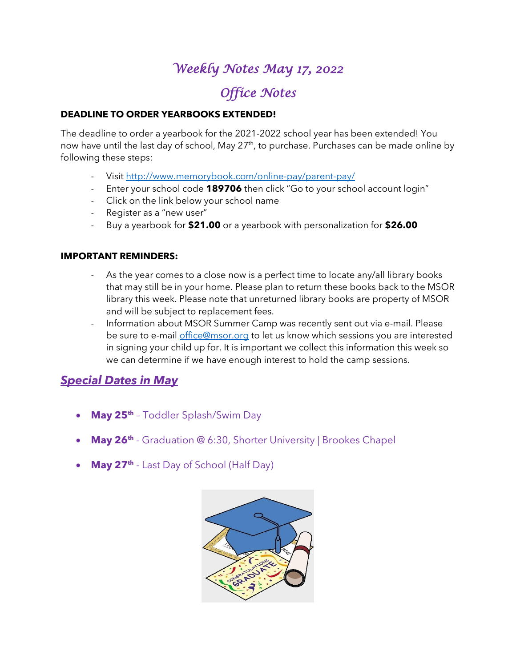## *Weekly Notes May 17, 2022*

## *Office Notes*

#### **DEADLINE TO ORDER YEARBOOKS EXTENDED!**

The deadline to order a yearbook for the 2021-2022 school year has been extended! You now have until the last day of school, May 27<sup>th</sup>, to purchase. Purchases can be made online by following these steps:

- Visit<http://www.memorybook.com/online-pay/parent-pay/>
- Enter your school code **189706** then click "Go to your school account login"
- Click on the link below your school name
- Register as a "new user"
- Buy a yearbook for **\$21.00** or a yearbook with personalization for **\$26.00**

#### **IMPORTANT REMINDERS:**

- As the year comes to a close now is a perfect time to locate any/all library books that may still be in your home. Please plan to return these books back to the MSOR library this week. Please note that unreturned library books are property of MSOR and will be subject to replacement fees.
- Information about MSOR Summer Camp was recently sent out via e-mail. Please be sure to e-mail [office@msor.org](mailto:office@msor.org) to let us know which sessions you are interested in signing your child up for. It is important we collect this information this week so we can determine if we have enough interest to hold the camp sessions.

#### *Special Dates in May*

- **May 25th** Toddler Splash/Swim Day
- **May 26<sup>th</sup>** Graduation @ 6:30, Shorter University | Brookes Chapel
- **May 27th** Last Day of School (Half Day)

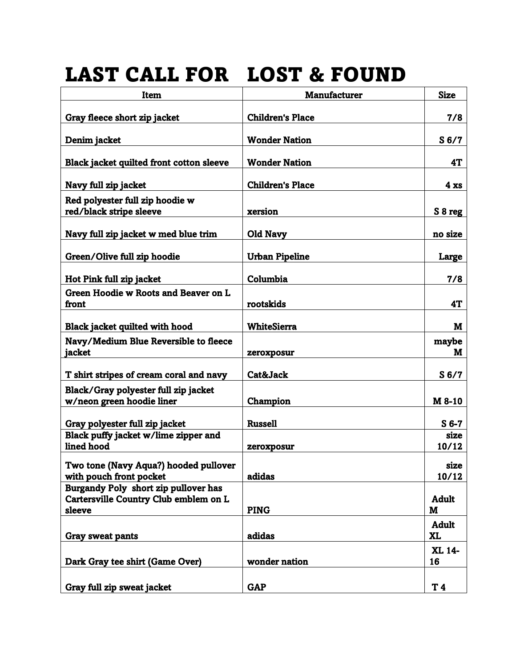# LAST CALL FOR LOST & FOUND

| Item                                                                                    | <b>Manufacturer</b>     | <b>Size</b>        |
|-----------------------------------------------------------------------------------------|-------------------------|--------------------|
| Gray fleece short zip jacket                                                            | <b>Children's Place</b> | 7/8                |
| Denim jacket                                                                            | <b>Wonder Nation</b>    | S <sub>6/7</sub>   |
| Black jacket quilted front cotton sleeve                                                | <b>Wonder Nation</b>    | 4T                 |
| Navy full zip jacket                                                                    | <b>Children's Place</b> | $4 \mathbf{x}$ s   |
| Red polyester full zip hoodie w<br>red/black stripe sleeve                              | xersion                 | S 8 reg            |
| Navy full zip jacket w med blue trim                                                    | Old Navy                | no size            |
| Green/Olive full zip hoodie                                                             | <b>Urban Pipeline</b>   | Large              |
| Hot Pink full zip jacket                                                                | Columbia                | 7/8                |
| Green Hoodie w Roots and Beaver on L<br>front                                           | rootskids               | 4T                 |
| Black jacket quilted with hood                                                          | WhiteSierra             | M                  |
| Navy/Medium Blue Reversible to fleece<br>jacket                                         | zeroxposur              | maybe<br>м         |
| T shirt stripes of cream coral and navy                                                 | Cat&Jack                | S <sub>6/7</sub>   |
| Black/Gray polyester full zip jacket<br>w/neon green hoodie liner                       | Champion                | M 8-10             |
| Gray polyester full zip jacket                                                          | <b>Russell</b>          | $S6-7$             |
| Black puffy jacket w/lime zipper and<br>lined hood                                      | zeroxposur              | size<br>10/12      |
| Two tone (Navy Aqua?) hooded pullover<br>with pouch front pocket                        | adidas                  | size<br>10/12      |
| Burgandy Poly short zip pullover has<br>Cartersville Country Club emblem on L<br>sleeve | <b>PING</b>             | <b>Adult</b><br>M  |
| <b>Gray sweat pants</b>                                                                 | adidas                  | <b>Adult</b><br>XL |
| Dark Gray tee shirt (Game Over)                                                         | wonder nation           | XL 14-<br>16       |
| Gray full zip sweat jacket                                                              | <b>GAP</b>              | T 4                |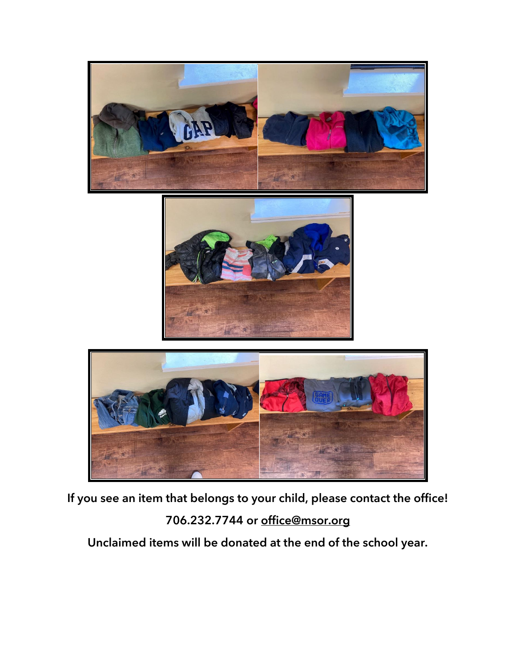

**If you see an item that belongs to your child, please contact the office! 706.232.7744 or [office@msor.org](mailto:office@msor.org)**

**Unclaimed items will be donated at the end of the school year.**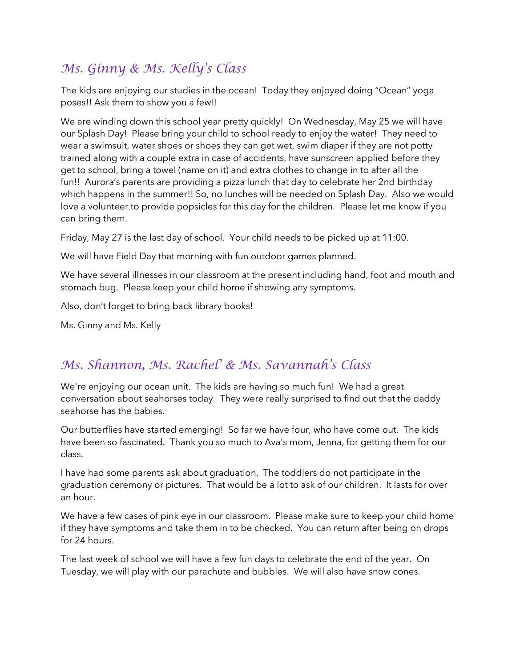### *Ms. Ginny & Ms. Kelly's Class*

The kids are enjoying our studies in the ocean! Today they enjoyed doing "Ocean" yoga poses!! Ask them to show you a few!!

We are winding down this school year pretty quickly! On Wednesday, May 25 we will have our Splash Day! Please bring your child to school ready to enjoy the water! They need to wear a swimsuit, water shoes or shoes they can get wet, swim diaper if they are not potty trained along with a couple extra in case of accidents, have sunscreen applied before they get to school, bring a towel (name on it) and extra clothes to change in to after all the fun!! Aurora's parents are providing a pizza lunch that day to celebrate her 2nd birthday which happens in the summer!! So, no lunches will be needed on Splash Day. Also we would love a volunteer to provide popsicles for this day for the children. Please let me know if you can bring them.

Friday, May 27 is the last day of school. Your child needs to be picked up at 11:00.

We will have Field Day that morning with fun outdoor games planned.

We have several illnesses in our classroom at the present including hand, foot and mouth and stomach bug. Please keep your child home if showing any symptoms.

Also, don't forget to bring back library books!

Ms. Ginny and Ms. Kelly

#### *Ms. Shannon, Ms. Rachel' & Ms. Savannah's Class*

We're enjoying our ocean unit. The kids are having so much fun! We had a great conversation about seahorses today. They were really surprised to find out that the daddy seahorse has the babies.

Our butterflies have started emerging! So far we have four, who have come out. The kids have been so fascinated. Thank you so much to Ava's mom, Jenna, for getting them for our class.

I have had some parents ask about graduation. The toddlers do not participate in the graduation ceremony or pictures. That would be a lot to ask of our children. It lasts for over an hour.

We have a few cases of pink eye in our classroom. Please make sure to keep your child home if they have symptoms and take them in to be checked. You can return after being on drops for 24 hours.

The last week of school we will have a few fun days to celebrate the end of the year. On Tuesday, we will play with our parachute and bubbles. We will also have snow cones.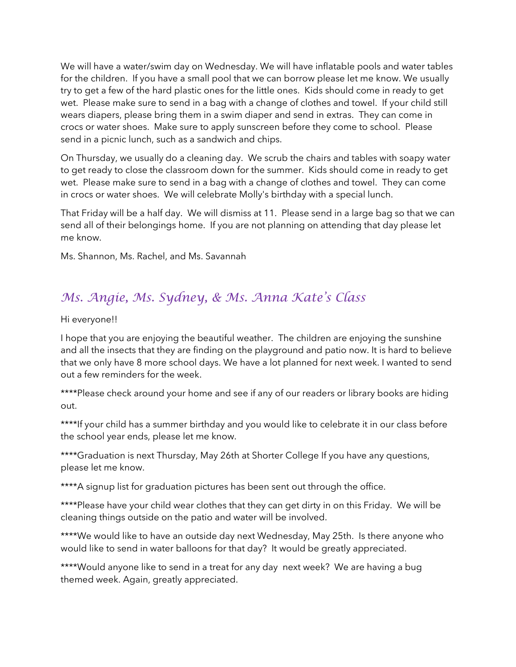We will have a water/swim day on Wednesday. We will have inflatable pools and water tables for the children. If you have a small pool that we can borrow please let me know. We usually try to get a few of the hard plastic ones for the little ones. Kids should come in ready to get wet. Please make sure to send in a bag with a change of clothes and towel. If your child still wears diapers, please bring them in a swim diaper and send in extras. They can come in crocs or water shoes. Make sure to apply sunscreen before they come to school. Please send in a picnic lunch, such as a sandwich and chips.

On Thursday, we usually do a cleaning day. We scrub the chairs and tables with soapy water to get ready to close the classroom down for the summer. Kids should come in ready to get wet. Please make sure to send in a bag with a change of clothes and towel. They can come in crocs or water shoes. We will celebrate Molly's birthday with a special lunch.

That Friday will be a half day. We will dismiss at 11. Please send in a large bag so that we can send all of their belongings home. If you are not planning on attending that day please let me know.

Ms. Shannon, Ms. Rachel, and Ms. Savannah

#### *Ms. Angie, Ms. Sydney, & Ms. Anna Kate's Class*

Hi everyone!!

I hope that you are enjoying the beautiful weather. The children are enjoying the sunshine and all the insects that they are finding on the playground and patio now. It is hard to believe that we only have 8 more school days. We have a lot planned for next week. I wanted to send out a few reminders for the week.

\*\*\*\*Please check around your home and see if any of our readers or library books are hiding out.

\*\*\*\*If your child has a summer birthday and you would like to celebrate it in our class before the school year ends, please let me know.

\*\*\*\*Graduation is next Thursday, May 26th at Shorter College If you have any questions, please let me know.

\*\*\*\*A signup list for graduation pictures has been sent out through the office.

\*\*\*\*Please have your child wear clothes that they can get dirty in on this Friday. We will be cleaning things outside on the patio and water will be involved.

\*\*\*\*We would like to have an outside day next Wednesday, May 25th. Is there anyone who would like to send in water balloons for that day? It would be greatly appreciated.

\*\*\*\*Would anyone like to send in a treat for any day next week? We are having a bug themed week. Again, greatly appreciated.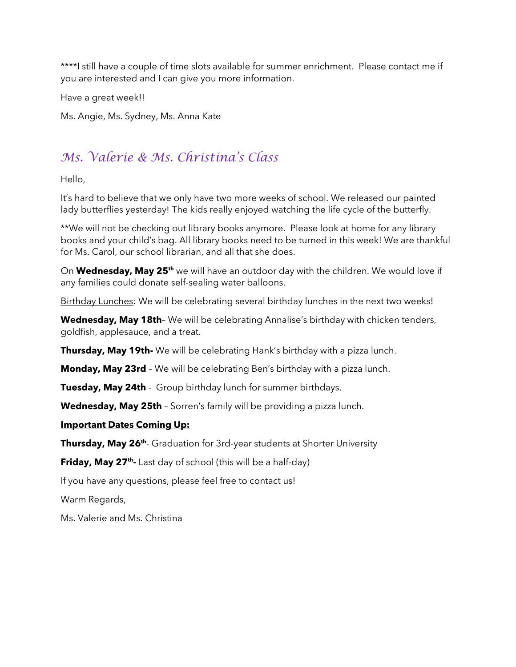\*\*\*\*I still have a couple of time slots available for summer enrichment. Please contact me if you are interested and I can give you more information.

Have a great week!!

Ms. Angie, Ms. Sydney, Ms. Anna Kate

## *Ms. Valerie & Ms. Christina's Class*

Hello,

It's hard to believe that we only have two more weeks of school. We released our painted lady butterflies yesterday! The kids really enjoyed watching the life cycle of the butterfly.

\*\*We will not be checking out library books anymore. Please look at home for any library books and your child's bag. All library books need to be turned in this week! We are thankful for Ms. Carol, our school librarian, and all that she does.

On **Wednesday, May 25th** we will have an outdoor day with the children. We would love if any families could donate self-sealing water balloons.

Birthday Lunches: We will be celebrating several birthday lunches in the next two weeks!

**Wednesday, May 18th**– We will be celebrating Annalise's birthday with chicken tenders, goldfish, applesauce, and a treat.

**Thursday, May 19th-** We will be celebrating Hank's birthday with a pizza lunch.

**Monday, May 23rd** – We will be celebrating Ben's birthday with a pizza lunch.

**Tuesday, May 24th** - Group birthday lunch for summer birthdays.

**Wednesday, May 25th** – Sorren's family will be providing a pizza lunch.

#### **Important Dates Coming Up:**

**Thursday, May 26th** - Graduation for 3rd-year students at Shorter University

**Friday, May 27th -** Last day of school (this will be a half-day)

If you have any questions, please feel free to contact us!

Warm Regards,

Ms. Valerie and Ms. Christina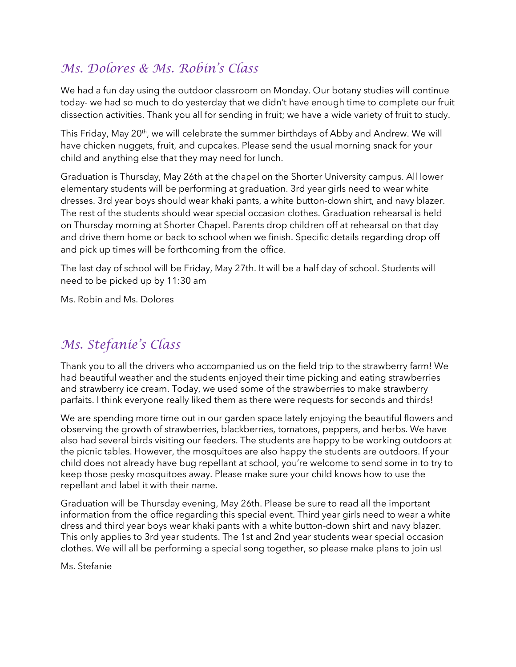#### *Ms. Dolores & Ms. Robin's Class*

We had a fun day using the outdoor classroom on Monday. Our botany studies will continue today- we had so much to do yesterday that we didn't have enough time to complete our fruit dissection activities. Thank you all for sending in fruit; we have a wide variety of fruit to study.

This Friday, May 20<sup>th</sup>, we will celebrate the summer birthdays of Abby and Andrew. We will have chicken nuggets, fruit, and cupcakes. Please send the usual morning snack for your child and anything else that they may need for lunch.

Graduation is Thursday, May 26th at the chapel on the Shorter University campus. All lower elementary students will be performing at graduation. 3rd year girls need to wear white dresses. 3rd year boys should wear khaki pants, a white button-down shirt, and navy blazer. The rest of the students should wear special occasion clothes. Graduation rehearsal is held on Thursday morning at Shorter Chapel. Parents drop children off at rehearsal on that day and drive them home or back to school when we finish. Specific details regarding drop off and pick up times will be forthcoming from the office.

The last day of school will be Friday, May 27th. It will be a half day of school. Students will need to be picked up by 11:30 am

Ms. Robin and Ms. Dolores

#### *Ms. Stefanie's Class*

Thank you to all the drivers who accompanied us on the field trip to the strawberry farm! We had beautiful weather and the students enjoyed their time picking and eating strawberries and strawberry ice cream. Today, we used some of the strawberries to make strawberry parfaits. I think everyone really liked them as there were requests for seconds and thirds!

We are spending more time out in our garden space lately enjoying the beautiful flowers and observing the growth of strawberries, blackberries, tomatoes, peppers, and herbs. We have also had several birds visiting our feeders. The students are happy to be working outdoors at the picnic tables. However, the mosquitoes are also happy the students are outdoors. If your child does not already have bug repellant at school, you're welcome to send some in to try to keep those pesky mosquitoes away. Please make sure your child knows how to use the repellant and label it with their name.

Graduation will be Thursday evening, May 26th. Please be sure to read all the important information from the office regarding this special event. Third year girls need to wear a white dress and third year boys wear khaki pants with a white button-down shirt and navy blazer. This only applies to 3rd year students. The 1st and 2nd year students wear special occasion clothes. We will all be performing a special song together, so please make plans to join us!

Ms. Stefanie